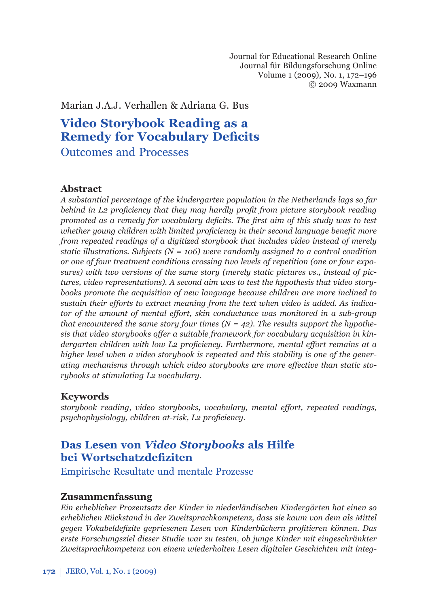Journal for Educational Research Online Journal für Bildungsforschung Online Volume 1 (2009), No. 1, 172–196 © 2009 Waxmann

Marian J.A.J. Verhallen & Adriana G. Bus

# **Video Storybook Reading as a Remedy for Vocabulary Deficits**

Outcomes and Processes

# **Abstract**

*A substantial percentage of the kindergarten population in the Netherlands lags so far*  behind in L2 proficiency that they may hardly profit from picture storybook reading *promoted as a remedy for vocabulary deficits. The first aim of this study was to test whether young children with limited proficiency in their second language benefit more from repeated readings of a digitized storybook that includes video instead of merely static illustrations. Subjects (N = 106) were randomly assigned to a control condition or one of four treatment conditions crossing two levels of repetition (one or four exposures) with two versions of the same story (merely static pictures vs., instead of pictures, video representations). A second aim was to test the hypothesis that video storybooks promote the acquisition of new language because children are more inclined to sustain their efforts to extract meaning from the text when video is added. As indicator of the amount of mental effort, skin conductance was monitored in a sub-group that encountered the same story four times*  $(N = 42)$ *. The results support the hypothesis that video storybooks offer a suitable framework for vocabulary acquisition in kindergarten children with low L2 proficiency. Furthermore, mental effort remains at a higher level when a video storybook is repeated and this stability is one of the generating mechanisms through which video storybooks are more effective than static storybooks at stimulating L2 vocabulary.* 

# **Keywords**

*storybook reading, video storybooks, vocabulary, mental effort, repeated readings, psychophysiology, children at-risk, L2 proficiency.* 

# **Das Lesen von** *Video Storybooks* **als Hilfe bei Wortschatzdefiziten**

Empirische Resultate und mentale Prozesse

### **Zusammenfassung**

*Ein erheblicher Prozentsatz der Kinder in niederländischen Kindergärten hat einen so erheblichen Rückstand in der Zweitsprachkompetenz, dass sie kaum von dem als Mittel gegen Vokabeldefi zite gepriesenen Lesen von Kinderbüchern profi tieren können. Das erste Forschungsziel dieser Studie war zu testen, ob junge Kinder mit eingeschränkter Zweitsprachkompetenz von einem wiederholten Lesen digitaler Geschichten mit integ-*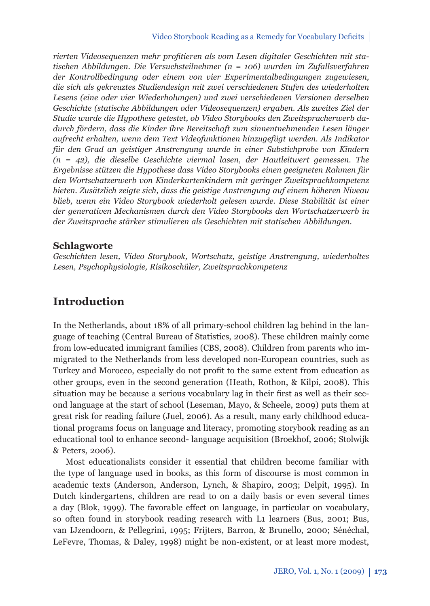rierten Videosequenzen mehr profitieren als vom Lesen digitaler Geschichten mit sta*tischen Abbildungen. Die Versuchsteilnehmer (n = 106) wurden im Zufallsverfahren der Kontrollbedingung oder einem von vier Experimentalbedingungen zugewiesen, die sich als gekreuztes Studiendesign mit zwei verschiedenen Stufen des wiederholten Lesens (eine oder vier Wiederholungen) und zwei verschiedenen Versionen derselben Geschichte (statische Abbildungen oder Videosequenzen) ergaben. Als zweites Ziel der Studie wurde die Hypothese getestet, ob Video Storybooks den Zweitspracherwerb dadurch fördern, dass die Kinder ihre Bereitschaft zum sinnentnehmenden Lesen länger aufrecht erhalten, wenn dem Text Videofunktionen hinzugefügt werden. Als Indikator für den Grad an geistiger Anstrengung wurde in einer Substichprobe von Kindern (n = 42), die dieselbe Geschichte viermal lasen, der Hautleitwert gemessen. The Ergebnisse stützen die Hypothese dass Video Storybooks einen geeigneten Rahmen für den Wortschatzerwerb von Kinderkartenkindern mit geringer Zweitsprachkompetenz bieten. Zusätzlich zeigte sich, dass die geistige Anstrengung auf einem höheren Niveau blieb, wenn ein Video Storybook wiederholt gelesen wurde. Diese Stabilität ist einer der generativen Mechanismen durch den Video Storybooks den Wortschatzerwerb in der Zweitsprache stärker stimulieren als Geschichten mit statischen Abbildungen.*

#### **Schlagworte**

*Geschichten lesen, Video Storybook, Wortschatz, geistige Anstrengung, wiederholtes Lesen, Psychophysiologie, Risikoschüler, Zweitsprachkompetenz*

# **Introduction**

In the Netherlands, about 18% of all primary-school children lag behind in the language of teaching (Central Bureau of Statistics, 2008). These children mainly come from low-educated immigrant families (CBS, 2008). Children from parents who immigrated to the Netherlands from less developed non-European countries, such as Turkey and Morocco, especially do not profit to the same extent from education as other groups, even in the second generation (Heath, Rothon, & Kilpi, 2008). This situation may be because a serious vocabulary lag in their first as well as their second language at the start of school (Leseman, Mayo, & Scheele, 2009) puts them at great risk for reading failure (Juel, 2006). As a result, many early childhood educational programs focus on language and literacy, promoting storybook reading as an educational tool to enhance second- language acquisition (Broekhof, 2006; Stolwijk & Peters, 2006).

Most educationalists consider it essential that children become familiar with the type of language used in books, as this form of discourse is most common in academic texts (Anderson, Anderson, Lynch, & Shapiro, 2003; Delpit, 1995). In Dutch kindergartens, children are read to on a daily basis or even several times a day (Blok, 1999). The favorable effect on language, in particular on vocabulary, so often found in storybook reading research with L1 learners (Bus, 2001; Bus, van IJzendoorn, & Pellegrini, 1995; Frijters, Barron, & Brunello, 2000; Sénéchal, LeFevre, Thomas, & Daley, 1998) might be non-existent, or at least more modest,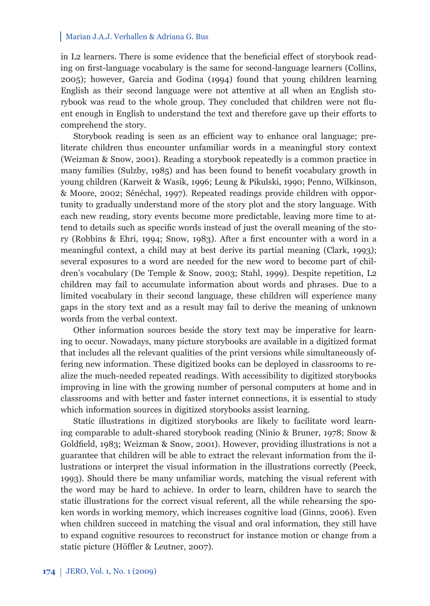in L2 learners. There is some evidence that the beneficial effect of storybook reading on first-language vocabulary is the same for second-language learners (Collins, 2005); however, Garcia and Godina (1994) found that young children learning English as their second language were not attentive at all when an English storybook was read to the whole group. They concluded that children were not fluent enough in English to understand the text and therefore gave up their efforts to comprehend the story.

Storybook reading is seen as an efficient way to enhance oral language; preliterate children thus encounter unfamiliar words in a meaningful story context (Weizman & Snow, 2001). Reading a storybook repeatedly is a common practice in many families (Sulzby, 1985) and has been found to benefit vocabulary growth in young children (Karweit & Wasik, 1996; Leung & Pikulski, 1990; Penno, Wilkinson, & Moore, 2002; Sénéchal, 1997). Repeated readings provide children with opportunity to gradually understand more of the story plot and the story language. With each new reading, story events become more predictable, leaving more time to attend to details such as specific words instead of just the overall meaning of the story (Robbins & Ehri, 1994; Snow, 1983). After a first encounter with a word in a meaningful context, a child may at best derive its partial meaning (Clark, 1993); several exposures to a word are needed for the new word to become part of children's vocabulary (De Temple & Snow, 2003; Stahl, 1999). Despite repetition, L2 children may fail to accumulate information about words and phrases. Due to a limited vocabulary in their second language, these children will experience many gaps in the story text and as a result may fail to derive the meaning of unknown words from the verbal context.

Other information sources beside the story text may be imperative for learning to occur. Nowadays, many picture storybooks are available in a digitized format that includes all the relevant qualities of the print versions while simultaneously offering new information. These digitized books can be deployed in classrooms to realize the much-needed repeated readings. With accessibility to digitized storybooks improving in line with the growing number of personal computers at home and in classrooms and with better and faster internet connections, it is essential to study which information sources in digitized storybooks assist learning.

Static illustrations in digitized storybooks are likely to facilitate word learning comparable to adult-shared storybook reading (Ninio & Bruner, 1978; Snow & Goldfield, 1983; Weizman & Snow, 2001). However, providing illustrations is not a guarantee that children will be able to extract the relevant information from the illustrations or interpret the visual information in the illustrations correctly (Peeck, 1993). Should there be many unfamiliar words, matching the visual referent with the word may be hard to achieve. In order to learn, children have to search the static illustrations for the correct visual referent, all the while rehearsing the spoken words in working memory, which increases cognitive load (Ginns, 2006). Even when children succeed in matching the visual and oral information, they still have to expand cognitive resources to reconstruct for instance motion or change from a static picture (Höffler & Leutner, 2007).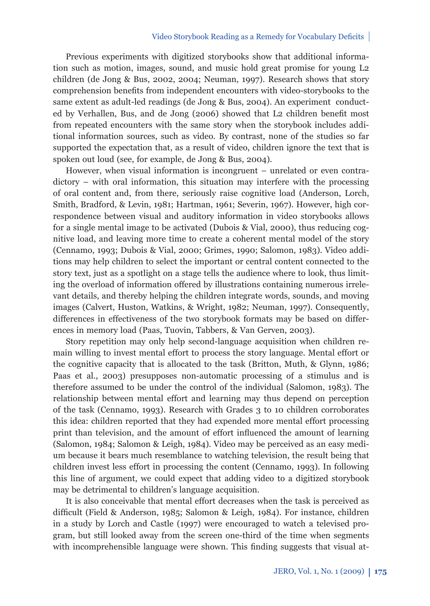#### Video Storybook Reading as a Remedy for Vocabulary Deficits

Previous experiments with digitized storybooks show that additional information such as motion, images, sound, and music hold great promise for young L2 children (de Jong & Bus, 2002, 2004; Neuman, 1997). Research shows that story comprehension benefits from independent encounters with video-storybooks to the same extent as adult-led readings (de Jong & Bus, 2004). An experiment conducted by Verhallen, Bus, and de Jong (2006) showed that L2 children benefit most from repeated encounters with the same story when the storybook includes additional information sources, such as video. By contrast, none of the studies so far supported the expectation that, as a result of video, children ignore the text that is spoken out loud (see, for example, de Jong & Bus, 2004).

However, when visual information is incongruent – unrelated or even contradictory – with oral information, this situation may interfere with the processing of oral content and, from there, seriously raise cognitive load (Anderson, Lorch, Smith, Bradford, & Levin, 1981; Hartman, 1961; Severin, 1967). However, high correspondence between visual and auditory information in video storybooks allows for a single mental image to be activated (Dubois & Vial, 2000), thus reducing cognitive load, and leaving more time to create a coherent mental model of the story (Cennamo, 1993; Dubois & Vial, 2000; Grimes, 1990; Salomon, 1983). Video additions may help children to select the important or central content connected to the story text, just as a spotlight on a stage tells the audience where to look, thus limiting the overload of information offered by illustrations containing numerous irrelevant details, and thereby helping the children integrate words, sounds, and moving images (Calvert, Huston, Watkins, & Wright, 1982; Neuman, 1997). Consequently, differences in effectiveness of the two storybook formats may be based on differences in memory load (Paas, Tuovin, Tabbers, & Van Gerven, 2003).

Story repetition may only help second-language acquisition when children remain willing to invest mental effort to process the story language. Mental effort or the cognitive capacity that is allocated to the task (Britton, Muth, & Glynn, 1986; Paas et al., 2003) presupposes non-automatic processing of a stimulus and is therefore assumed to be under the control of the individual (Salomon, 1983). The relationship between mental effort and learning may thus depend on perception of the task (Cennamo, 1993). Research with Grades 3 to 10 children corroborates this idea: children reported that they had expended more mental effort processing print than television, and the amount of effort influenced the amount of learning (Salomon, 1984; Salomon & Leigh, 1984). Video may be perceived as an easy medium because it bears much resemblance to watching television, the result being that children invest less effort in processing the content (Cennamo, 1993). In following this line of argument, we could expect that adding video to a digitized storybook may be detrimental to children's language acquisition.

It is also conceivable that mental effort decreases when the task is perceived as difficult (Field & Anderson, 1985; Salomon & Leigh, 1984). For instance, children in a study by Lorch and Castle (1997) were encouraged to watch a televised program, but still looked away from the screen one-third of the time when segments with incomprehensible language were shown. This finding suggests that visual at-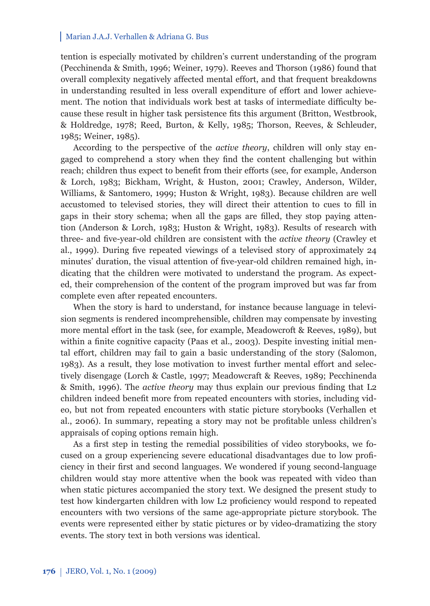tention is especially motivated by children's current understanding of the program (Pecchinenda & Smith, 1996; Weiner, 1979). Reeves and Thorson (1986) found that overall complexity negatively affected mental effort, and that frequent breakdowns in understanding resulted in less overall expenditure of effort and lower achievement. The notion that individuals work best at tasks of intermediate difficulty because these result in higher task persistence fits this argument (Britton, Westbrook, & Holdredge, 1978; Reed, Burton, & Kelly, 1985; Thorson, Reeves, & Schleuder, 1985; Weiner, 1985).

According to the perspective of the *active theory*, children will only stay engaged to comprehend a story when they find the content challenging but within reach; children thus expect to benefit from their efforts (see, for example, Anderson & Lorch, 1983; Bickham, Wright, & Huston, 2001; Crawley, Anderson, Wilder, Williams, & Santomero, 1999; Huston & Wright, 1983). Because children are well accustomed to televised stories, they will direct their attention to cues to fill in gaps in their story schema; when all the gaps are filled, they stop paying attention (Anderson & Lorch, 1983; Huston & Wright, 1983). Results of research with three- and five-year-old children are consistent with the *active theory* (Crawley et al., 1999). During five repeated viewings of a televised story of approximately 24 minutes' duration, the visual attention of five-year-old children remained high, indicating that the children were motivated to understand the program. As expected, their comprehension of the content of the program improved but was far from complete even after repeated encounters.

When the story is hard to understand, for instance because language in television segments is rendered incomprehensible, children may compensate by investing more mental effort in the task (see, for example, Meadowcroft & Reeves, 1989), but within a finite cognitive capacity (Paas et al., 2003). Despite investing initial mental effort, children may fail to gain a basic understanding of the story (Salomon, 1983). As a result, they lose motivation to invest further mental effort and selectively disengage (Lorch & Castle, 1997; Meadowcraft & Reeves, 1989; Pecchinenda & Smith, 1996). The *active theory* may thus explain our previous finding that L2 children indeed benefit more from repeated encounters with stories, including video, but not from repeated encounters with static picture storybooks (Verhallen et al., 2006). In summary, repeating a story may not be profitable unless children's appraisals of coping options remain high.

As a first step in testing the remedial possibilities of video storybooks, we focused on a group experiencing severe educational disadvantages due to low proficiency in their first and second languages. We wondered if young second-language children would stay more attentive when the book was repeated with video than when static pictures accompanied the story text. We designed the present study to test how kindergarten children with low L2 proficiency would respond to repeated encounters with two versions of the same age-appropriate picture storybook. The events were represented either by static pictures or by video-dramatizing the story events. The story text in both versions was identical.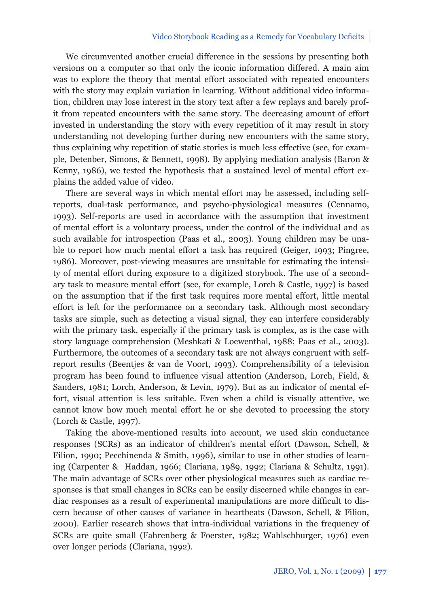#### Video Storybook Reading as a Remedy for Vocabulary Deficits

We circumvented another crucial difference in the sessions by presenting both versions on a computer so that only the iconic information differed. A main aim was to explore the theory that mental effort associated with repeated encounters with the story may explain variation in learning. Without additional video information, children may lose interest in the story text after a few replays and barely profit from repeated encounters with the same story. The decreasing amount of effort invested in understanding the story with every repetition of it may result in story understanding not developing further during new encounters with the same story, thus explaining why repetition of static stories is much less effective (see, for example, Detenber, Simons, & Bennett, 1998). By applying mediation analysis (Baron & Kenny, 1986), we tested the hypothesis that a sustained level of mental effort explains the added value of video.

There are several ways in which mental effort may be assessed, including selfreports, dual-task performance, and psycho-physiological measures (Cennamo, 1993). Self-reports are used in accordance with the assumption that investment of mental effort is a voluntary process, under the control of the individual and as such available for introspection (Paas et al., 2003). Young children may be unable to report how much mental effort a task has required (Geiger, 1993; Pingree, 1986). Moreover, post-viewing measures are unsuitable for estimating the intensity of mental effort during exposure to a digitized storybook. The use of a secondary task to measure mental effort (see, for example, Lorch & Castle, 1997) is based on the assumption that if the first task requires more mental effort, little mental effort is left for the performance on a secondary task. Although most secondary tasks are simple, such as detecting a visual signal, they can interfere considerably with the primary task, especially if the primary task is complex, as is the case with story language comprehension (Meshkati & Loewenthal, 1988; Paas et al., 2003). Furthermore, the outcomes of a secondary task are not always congruent with selfreport results (Beentjes & van de Voort, 1993). Comprehensibility of a television program has been found to influence visual attention (Anderson, Lorch, Field, & Sanders, 1981; Lorch, Anderson, & Levin, 1979). But as an indicator of mental effort, visual attention is less suitable. Even when a child is visually attentive, we cannot know how much mental effort he or she devoted to processing the story (Lorch & Castle, 1997).

Taking the above-mentioned results into account, we used skin conductance responses (SCRs) as an indicator of children's mental effort (Dawson, Schell, & Filion, 1990; Pecchinenda & Smith, 1996), similar to use in other studies of learning (Carpenter & Haddan, 1966; Clariana, 1989, 1992; Clariana & Schultz, 1991). The main advantage of SCRs over other physiological measures such as cardiac responses is that small changes in SCRs can be easily discerned while changes in cardiac responses as a result of experimental manipulations are more difficult to discern because of other causes of variance in heartbeats (Dawson, Schell, & Filion, 2000). Earlier research shows that intra-individual variations in the frequency of SCRs are quite small (Fahrenberg & Foerster, 1982; Wahlschburger, 1976) even over longer periods (Clariana, 1992).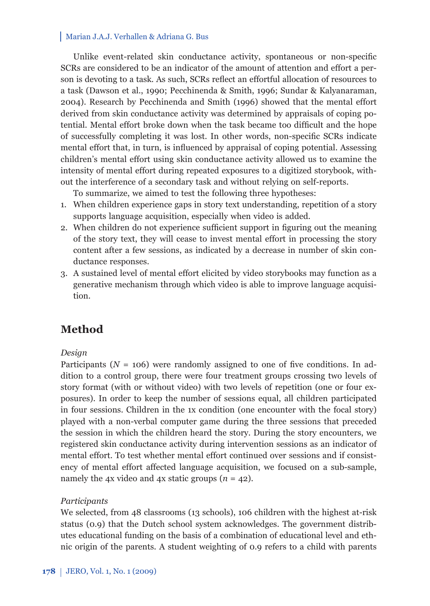Unlike event-related skin conductance activity, spontaneous or non-specific SCRs are considered to be an indicator of the amount of attention and effort a person is devoting to a task. As such, SCRs reflect an effortful allocation of resources to a task (Dawson et al., 1990; Pecchinenda & Smith, 1996; Sundar & Kalyanaraman, 2004). Research by Pecchinenda and Smith (1996) showed that the mental effort derived from skin conductance activity was determined by appraisals of coping potential. Mental effort broke down when the task became too difficult and the hope of successfully completing it was lost. In other words, non-specifi c SCRs indicate mental effort that, in turn, is influenced by appraisal of coping potential. Assessing children's mental effort using skin conductance activity allowed us to examine the intensity of mental effort during repeated exposures to a digitized storybook, without the interference of a secondary task and without relying on self-reports.

To summarize, we aimed to test the following three hypotheses:

- 1. When children experience gaps in story text understanding, repetition of a story supports language acquisition, especially when video is added.
- 2. When children do not experience sufficient support in figuring out the meaning of the story text, they will cease to invest mental effort in processing the story content after a few sessions, as indicated by a decrease in number of skin conductance responses.
- 3. A sustained level of mental effort elicited by video storybooks may function as a generative mechanism through which video is able to improve language acquisition.

# **Method**

### *Design*

Participants ( $N = 106$ ) were randomly assigned to one of five conditions. In addition to a control group, there were four treatment groups crossing two levels of story format (with or without video) with two levels of repetition (one or four exposures). In order to keep the number of sessions equal, all children participated in four sessions. Children in the 1x condition (one encounter with the focal story) played with a non-verbal computer game during the three sessions that preceded the session in which the children heard the story*.* During the story encounters, we registered skin conductance activity during intervention sessions as an indicator of mental effort. To test whether mental effort continued over sessions and if consistency of mental effort affected language acquisition, we focused on a sub-sample, namely the 4x video and 4x static groups (*n* = 42).

### *Participants*

We selected, from 48 classrooms (13 schools), 106 children with the highest at-risk status (0.9) that the Dutch school system acknowledges. The government distributes educational funding on the basis of a combination of educational level and ethnic origin of the parents. A student weighting of 0.9 refers to a child with parents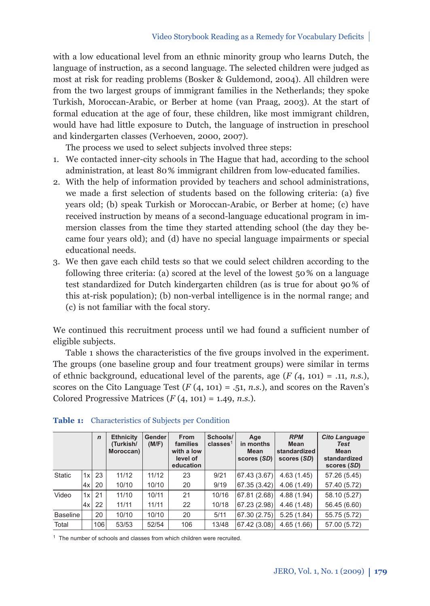with a low educational level from an ethnic minority group who learns Dutch, the language of instruction, as a second language. The selected children were judged as most at risk for reading problems (Bosker & Guldemond, 2004). All children were from the two largest groups of immigrant families in the Netherlands; they spoke Turkish, Moroccan-Arabic, or Berber at home (van Praag, 2003). At the start of formal education at the age of four, these children, like most immigrant children, would have had little exposure to Dutch, the language of instruction in preschool and kindergarten classes (Verhoeven, 2000, 2007).

The process we used to select subjects involved three steps:

- 1. We contacted inner-city schools in The Hague that had, according to the school administration, at least 80 % immigrant children from low-educated families.
- 2. With the help of information provided by teachers and school administrations, we made a first selection of students based on the following criteria: (a) five years old; (b) speak Turkish or Moroccan-Arabic, or Berber at home; (c) have received instruction by means of a second-language educational program in immersion classes from the time they started attending school (the day they became four years old); and (d) have no special language impairments or special educational needs.
- 3. We then gave each child tests so that we could select children according to the following three criteria: (a) scored at the level of the lowest 50 % on a language test standardized for Dutch kindergarten children (as is true for about 90 % of this at-risk population); (b) non-verbal intelligence is in the normal range; and (c) is not familiar with the focal story.

We continued this recruitment process until we had found a sufficient number of eligible subjects.

Table 1 shows the characteristics of the five groups involved in the experiment. The groups (one baseline group and four treatment groups) were similar in terms of ethnic background, educational level of the parents, age (*F (*4, 101) = .11, *n.s.*), scores on the Cito Language Test  $(F(4, 101) = .51, n.s.)$ , and scores on the Raven's Colored Progressive Matrices (*F* (4, 101) = 1.49, *n.s.*).

|               |    | $\mathbf n$ | <b>Ethnicity</b><br>(Turkish/<br>Moroccan) | Gender<br>(M/F) | <b>From</b><br>families<br>with a low<br>level of<br>education | Schools/<br>classes <sup>1</sup> | Age<br>in months<br>Mean<br>scores (SD) | <b>RPM</b><br>Mean<br>standardized<br>scores (SD) | <b>Cito Language</b><br><b>Test</b><br>Mean<br>standardized<br>scores (SD) |
|---------------|----|-------------|--------------------------------------------|-----------------|----------------------------------------------------------------|----------------------------------|-----------------------------------------|---------------------------------------------------|----------------------------------------------------------------------------|
| <b>Static</b> | 1x | 23          | 11/12                                      | 11/12           | 23                                                             | 9/21                             | 67.43 (3.67)                            | 4.63(1.45)                                        | 57.26 (5.45)                                                               |
|               | 4x | 20          | 10/10                                      | 10/10           | 20                                                             | 9/19                             | 67.35 (3.42)                            | 4.06(1.49)                                        | 57.40 (5.72)                                                               |
| Video         | 1x | 21          | 11/10                                      | 10/11           | 21                                                             | 10/16                            | 67.81 (2.68)                            | 4.88 (1.94)                                       | 58.10 (5.27)                                                               |
|               | 4x | 22          | 11/11                                      | 11/11           | 22                                                             | 10/18                            | 67.23 (2.98)                            | 4.46(1.48)                                        | 56.45 (6.60)                                                               |
| Baseline      |    | 20          | 10/10                                      | 10/10           | 20                                                             | 5/11                             | 67.30 (2.75)                            | 5.25(1.84)                                        | 55.75 (5.72)                                                               |
| Total         |    | 106         | 53/53                                      | 52/54           | 106                                                            | 13/48                            | 67.42 (3.08)                            | 4.65(1.66)                                        | 57.00 (5.72)                                                               |

### **Table 1:** Characteristics of Subjects per Condition

<sup>1</sup> The number of schools and classes from which children were recruited.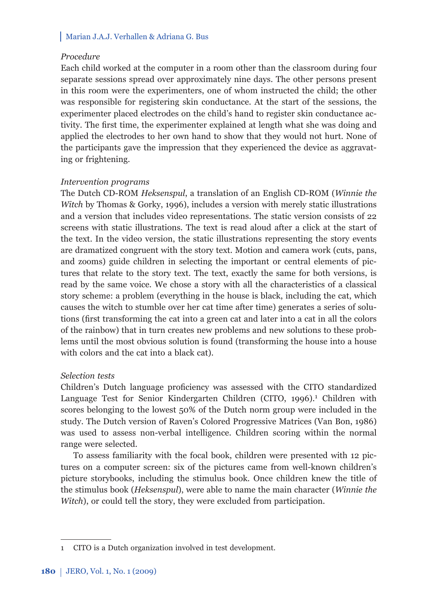### *Procedure*

Each child worked at the computer in a room other than the classroom during four separate sessions spread over approximately nine days. The other persons present in this room were the experimenters, one of whom instructed the child; the other was responsible for registering skin conductance. At the start of the sessions, the experimenter placed electrodes on the child's hand to register skin conductance activity. The first time, the experimenter explained at length what she was doing and applied the electrodes to her own hand to show that they would not hurt. None of the participants gave the impression that they experienced the device as aggravating or frightening.

# *Intervention programs*

The Dutch CD-ROM *Heksenspul*, a translation of an English CD-ROM (*Winnie the Witch* by Thomas & Gorky, 1996), includes a version with merely static illustrations and a version that includes video representations. The static version consists of 22 screens with static illustrations. The text is read aloud after a click at the start of the text. In the video version, the static illustrations representing the story events are dramatized congruent with the story text. Motion and camera work (cuts, pans, and zooms) guide children in selecting the important or central elements of pictures that relate to the story text. The text, exactly the same for both versions, is read by the same voice. We chose a story with all the characteristics of a classical story scheme: a problem (everything in the house is black, including the cat, which causes the witch to stumble over her cat time after time) generates a series of solutions (first transforming the cat into a green cat and later into a cat in all the colors of the rainbow) that in turn creates new problems and new solutions to these problems until the most obvious solution is found (transforming the house into a house with colors and the cat into a black cat).

### *Selection tests*

Children's Dutch language proficiency was assessed with the CITO standardized Language Test for Senior Kindergarten Children (CITO, 1996).<sup>1</sup> Children with scores belonging to the lowest 50% of the Dutch norm group were included in the study. The Dutch version of Raven's Colored Progressive Matrices (Van Bon, 1986) was used to assess non-verbal intelligence. Children scoring within the normal range were selected.

To assess familiarity with the focal book, children were presented with 12 pictures on a computer screen: six of the pictures came from well-known children's picture storybooks, including the stimulus book. Once children knew the title of the stimulus book (*Heksenspul*), were able to name the main character (*Winnie the Witch*), or could tell the story, they were excluded from participation.

<sup>1</sup> CITO is a Dutch organization involved in test development.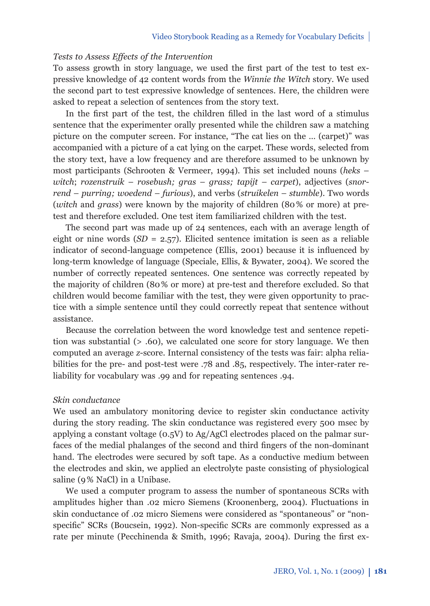# *Tests to Assess Effects of the Intervention*

To assess growth in story language, we used the first part of the test to test expressive knowledge of 42 content words from the *Winnie the Witch* story. We used the second part to test expressive knowledge of sentences. Here, the children were asked to repeat a selection of sentences from the story text*.*

In the first part of the test, the children filled in the last word of a stimulus sentence that the experimenter orally presented while the children saw a matching picture on the computer screen. For instance, "The cat lies on the … (carpet)" was accompanied with a picture of a cat lying on the carpet. These words, selected from the story text, have a low frequency and are therefore assumed to be unknown by most participants (Schrooten & Vermeer, 1994). This set included nouns (*heks – witch*; *rozenstruik* – *rosebush; gras – grass; tapijt – carpet*), adjectives (*snorrend – purring; woedend – furious*), and verbs (*struikelen – stumble*). Two words (*witch* and *grass*) were known by the majority of children (80 % or more) at pretest and therefore excluded. One test item familiarized children with the test.

The second part was made up of 24 sentences, each with an average length of eight or nine words  $(SD = 2.57)$ . Elicited sentence imitation is seen as a reliable indicator of second-language competence (Ellis, 2001) because it is influenced by long-term knowledge of language (Speciale, Ellis, & Bywater, 2004). We scored the number of correctly repeated sentences. One sentence was correctly repeated by the majority of children (80 % or more) at pre-test and therefore excluded. So that children would become familiar with the test, they were given opportunity to practice with a simple sentence until they could correctly repeat that sentence without assistance.

Because the correlation between the word knowledge test and sentence repetition was substantial (> .60), we calculated one score for story language. We then computed an average *z*-score. Internal consistency of the tests was fair: alpha reliabilities for the pre- and post-test were .78 and .85, respectively. The inter-rater reliability for vocabulary was .99 and for repeating sentences .94.

#### *Skin conductance*

We used an ambulatory monitoring device to register skin conductance activity during the story reading. The skin conductance was registered every 500 msec by applying a constant voltage (0.5V) to Ag/AgCl electrodes placed on the palmar surfaces of the medial phalanges of the second and third fingers of the non-dominant hand. The electrodes were secured by soft tape. As a conductive medium between the electrodes and skin, we applied an electrolyte paste consisting of physiological saline (9% NaCl) in a Unibase.

We used a computer program to assess the number of spontaneous SCRs with amplitudes higher than .02 micro Siemens (Kroonenberg, 2004). Fluctuations in skin conductance of .02 micro Siemens were considered as "spontaneous" or "nonspecific" SCRs (Boucsein, 1992). Non-specific SCRs are commonly expressed as a rate per minute (Pecchinenda & Smith, 1996; Ravaja, 2004). During the first ex-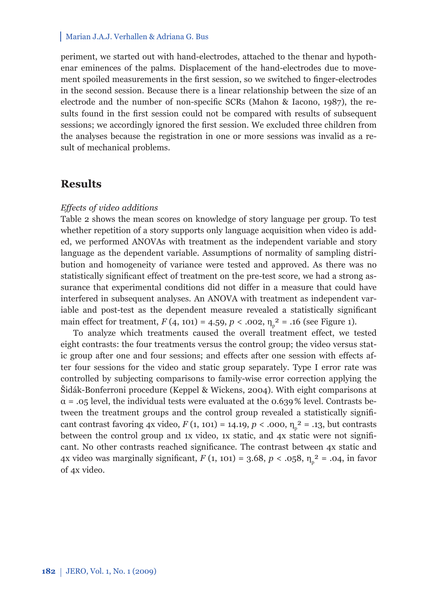periment, we started out with hand-electrodes, attached to the thenar and hypothenar eminences of the palms. Displacement of the hand-electrodes due to movement spoiled measurements in the first session, so we switched to finger-electrodes in the second session. Because there is a linear relationship between the size of an electrode and the number of non-specific SCRs (Mahon & Iacono, 1987), the results found in the first session could not be compared with results of subsequent sessions; we accordingly ignored the first session. We excluded three children from the analyses because the registration in one or more sessions was invalid as a result of mechanical problems.

# **Results**

#### *Effects of video additions*

Table 2 shows the mean scores on knowledge of story language per group. To test whether repetition of a story supports only language acquisition when video is added, we performed ANOVAs with treatment as the independent variable and story language as the dependent variable. Assumptions of normality of sampling distribution and homogeneity of variance were tested and approved. As there was no statistically significant effect of treatment on the pre-test score, we had a strong assurance that experimental conditions did not differ in a measure that could have interfered in subsequent analyses. An ANOVA with treatment as independent variable and post-test as the dependent measure revealed a statistically significant main effect for treatment,  $F(4, 101) = 4.59$ ,  $p < .002$ ,  $\eta_n^2 = .16$  (see Figure 1).

To analyze which treatments caused the overall treatment effect, we tested eight contrasts: the four treatments versus the control group; the video versus static group after one and four sessions; and effects after one session with effects after four sessions for the video and static group separately. Type I error rate was controlled by subjecting comparisons to family-wise error correction applying the Šidák-Bonferroni procedure (Keppel & Wickens, 2004). With eight comparisons at  $\alpha$  = .05 level, the individual tests were evaluated at the 0.639% level. Contrasts between the treatment groups and the control group revealed a statistically significant contrast favoring 4x video,  $F(1, 101) = 14.19$ ,  $p < .000$ ,  $\eta_n^2 = .13$ , but contrasts between the control group and 1x video, 1x static, and 4x static were not significant. No other contrasts reached significance. The contrast between  $4x$  static and 4x video was marginally significant,  $F(1, 101) = 3.68$ ,  $p < .058$ ,  $n_n^2 = .04$ , in favor of 4x video.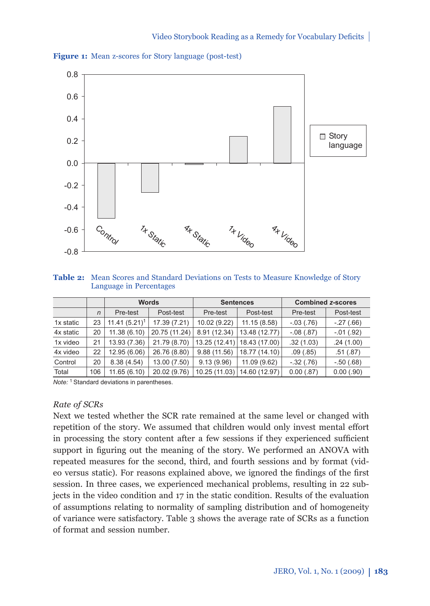



**Table 2:** Mean Scores and Standard Deviations on Tests to Measure Knowledge of Story Language in Percentages

|           |              |                 | <b>Words</b>  |               | <b>Sentences</b> | <b>Combined z-scores</b> |                 |
|-----------|--------------|-----------------|---------------|---------------|------------------|--------------------------|-----------------|
|           | $\mathsf{n}$ | Pre-test        | Post-test     | Pre-test      | Post-test        | Pre-test                 | Post-test       |
| 1x static | 23           | $11.41(5.21)^1$ | 17.39 (7.21)  | 10.02 (9.22)  | 11.15(8.58)      | $-03(0.76)$              | $-27(.66)$      |
| 4x static | 20           | 11.38(6.10)     | 20.75 (11.24) | 8.91 (12.34)  | 13.48 (12.77)    | $-0.08$ $(.87)$          | $-0.01$ $(.92)$ |
| 1x video  | 21           | 13.93 (7.36)    | 21.79 (8.70)  | 13.25 (12.41) | 18.43 (17.00)    | .32(1.03)                | .24(1.00)       |
| 4x video  | 22           | 12.95 (6.06)    | 26.76 (8.80)  | 9.88(11.56)   | 18.77 (14.10)    | .09(.85)                 | .51(.87)        |
| Control   | 20           | 8.38(4.54)      | 13.00 (7.50)  | 9.13(9.96)    | 11.09 (9.62)     | $-32(.76)$               | $-.50(.68)$     |
| Total     | 106          | 11.65(6.10)     | 20.02 (9.76)  | 10.25 (11.03) | 14.60 (12.97)    | 0.00(.87)                | $0.00$ $(.90)$  |

*Note:* 1 Standard deviations in parentheses.

### *Rate of SCRs*

Next we tested whether the SCR rate remained at the same level or changed with repetition of the story. We assumed that children would only invest mental effort in processing the story content after a few sessions if they experienced sufficient support in figuring out the meaning of the story. We performed an ANOVA with repeated measures for the second, third, and fourth sessions and by format (video versus static). For reasons explained above, we ignored the findings of the first session. In three cases, we experienced mechanical problems, resulting in 22 subjects in the video condition and 17 in the static condition. Results of the evaluation of assumptions relating to normality of sampling distribution and of homogeneity of variance were satisfactory. Table 3 shows the average rate of SCRs as a function of format and session number.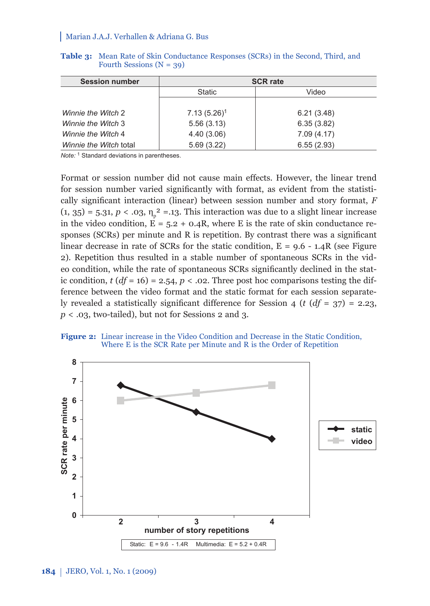| <b>Session number</b>  | <b>SCR rate</b> |            |  |  |  |
|------------------------|-----------------|------------|--|--|--|
|                        | <b>Static</b>   | Video      |  |  |  |
|                        |                 |            |  |  |  |
| Winnie the Witch 2     | $7.13(5.26)^1$  | 6.21(3.48) |  |  |  |
| Winnie the Witch 3     | 5.56(3.13)      | 6.35(3.82) |  |  |  |
| Winnie the Witch 4     | 4.40 (3.06)     | 7.09(4.17) |  |  |  |
| Winnie the Witch total | 5.69(3.22)      | 6.55(2.93) |  |  |  |

**Table 3:** Mean Rate of Skin Conductance Responses (SCRs) in the Second, Third, and Fourth Sessions  $(N = 39)$ 

*Note:* 1 Standard deviations in parentheses.

Format or session number did not cause main effects. However, the linear trend for session number varied significantly with format, as evident from the statistically significant interaction (linear) between session number and story format, *F*  $(1, 35) = 5.31, p < .03, \eta<sub>p</sub> = .13$ . This interaction was due to a slight linear increase in the video condition,  $E = 5.2 + 0.4R$ , where E is the rate of skin conductance responses (SCRs) per minute and R is repetition. By contrast there was a significant linear decrease in rate of SCRs for the static condition,  $E = 9.6 - 1.4R$  (see Figure 2). Repetition thus resulted in a stable number of spontaneous SCRs in the video condition, while the rate of spontaneous SCRs significantly declined in the static condition,  $t (df = 16) = 2.54$ ,  $p < .02$ . Three post hoc comparisons testing the difference between the video format and the static format for each session separately revealed a statistically significant difference for Session 4 (*t* ( $df = 37$ ) = 2.23, *p* < .03, two-tailed), but not for Sessions 2 and 3.



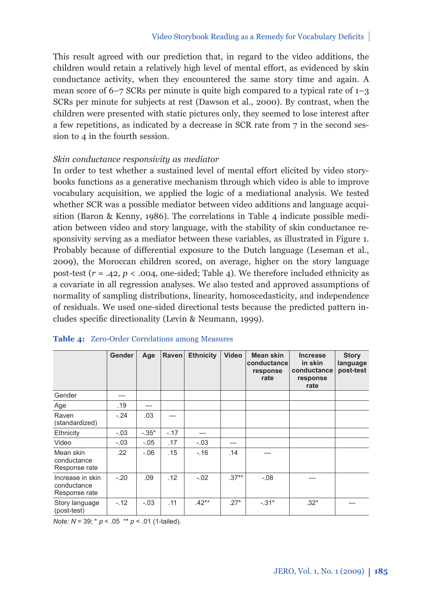This result agreed with our prediction that, in regard to the video additions, the children would retain a relatively high level of mental effort, as evidenced by skin conductance activity, when they encountered the same story time and again. A mean score of  $6-7$  SCRs per minute is quite high compared to a typical rate of  $1-3$ SCRs per minute for subjects at rest (Dawson et al., 2000). By contrast, when the children were presented with static pictures only, they seemed to lose interest after a few repetitions, as indicated by a decrease in SCR rate from 7 in the second session to 4 in the fourth session.

# *Skin conductance responsivity as mediator*

In order to test whether a sustained level of mental effort elicited by video storybooks functions as a generative mechanism through which video is able to improve vocabulary acquisition, we applied the logic of a mediational analysis. We tested whether SCR was a possible mediator between video additions and language acquisition (Baron & Kenny, 1986). The correlations in Table 4 indicate possible mediation between video and story language, with the stability of skin conductance responsivity serving as a mediator between these variables, as illustrated in Figure 1. Probably because of differential exposure to the Dutch language (Leseman et al., 2009), the Moroccan children scored, on average, higher on the story language post-test ( $r = .42$ ,  $p < .004$ , one-sided; Table 4). We therefore included ethnicity as a covariate in all regression analyses. We also tested and approved assumptions of normality of sampling distributions, linearity, homoscedasticity, and independence of residuals. We used one-sided directional tests because the predicted pattern includes specific directionality (Levin & Neumann, 1999).

|                                                  | Gender | Age     | Raven  | <b>Ethnicity</b> | Video   | Mean skin<br>conductance<br>response<br>rate | <b>Increase</b><br>in skin<br>conductance<br>response<br>rate | <b>Story</b><br>language<br>post-test |
|--------------------------------------------------|--------|---------|--------|------------------|---------|----------------------------------------------|---------------------------------------------------------------|---------------------------------------|
| Gender                                           | ---    |         |        |                  |         |                                              |                                                               |                                       |
| Age                                              | .19    | ---     |        |                  |         |                                              |                                                               |                                       |
| Raven<br>(standardized)                          | $-.24$ | .03     | ---    |                  |         |                                              |                                                               |                                       |
| Ethnicity                                        | $-.03$ | $-.35*$ | $-.17$ | ---              |         |                                              |                                                               |                                       |
| Video                                            | $-.03$ | $-.05$  | .17    | $-.03$           | ---     |                                              |                                                               |                                       |
| Mean skin<br>conductance<br>Response rate        | .22    | $-0.06$ | .15    | $-.16$           | .14     |                                              |                                                               |                                       |
| Increase in skin<br>conductance<br>Response rate | $-.20$ | .09     | .12    | $-.02$           | $.37**$ | $-0.08$                                      |                                                               |                                       |
| Story language<br>(post-test)                    | $-.12$ | $-.03$  | .11    | $.42**$          | $.27*$  | $-.31*$                                      | $.32*$                                                        | ---                                   |

#### **Table 4:** Zero-Order Correlations among Measures

*Note: N* = 39; \* *p* < .05 \*\* *p* < .01 (1-tailed).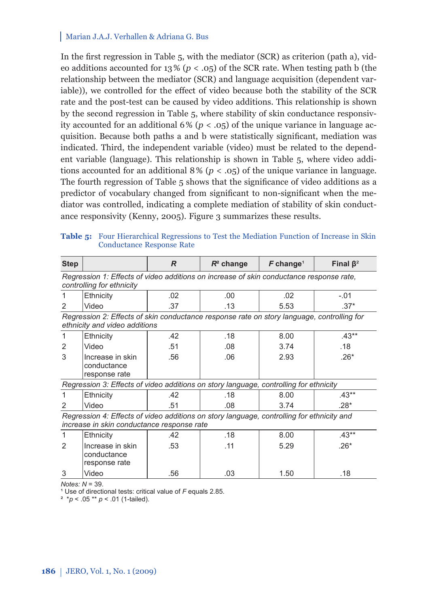In the first regression in Table  $5$ , with the mediator (SCR) as criterion (path a), video additions accounted for  $13\% (p < .05)$  of the SCR rate. When testing path b (the relationship between the mediator (SCR) and language acquisition (dependent variable)), we controlled for the effect of video because both the stability of the SCR rate and the post-test can be caused by video additions. This relationship is shown by the second regression in Table 5, where stability of skin conductance responsivity accounted for an additional  $6\%$  ( $p < .05$ ) of the unique variance in language acquisition. Because both paths a and b were statistically significant, mediation was indicated. Third, the independent variable (video) must be related to the dependent variable (language). This relationship is shown in Table 5, where video additions accounted for an additional  $8\%$  ( $p < .05$ ) of the unique variance in language. The fourth regression of Table 5 shows that the significance of video additions as a predictor of vocabulary changed from significant to non-significant when the mediator was controlled, indicating a complete mediation of stability of skin conductance responsivity (Kenny, 2005). Figure 3 summarizes these results.

| <b>Step</b>                                                                                                                             |                                                                                       | R   | $R^2$ change | $\bm{F}$ change <sup>1</sup> | Final $\beta^2$ |  |  |  |  |  |
|-----------------------------------------------------------------------------------------------------------------------------------------|---------------------------------------------------------------------------------------|-----|--------------|------------------------------|-----------------|--|--|--|--|--|
| Regression 1: Effects of video additions on increase of skin conductance response rate,<br>controlling for ethnicity                    |                                                                                       |     |              |                              |                 |  |  |  |  |  |
|                                                                                                                                         | Ethnicity                                                                             | .02 | .00          | .02                          | $-.01$          |  |  |  |  |  |
| 2                                                                                                                                       | Video                                                                                 | .37 | .13          | 5.53                         | $.37*$          |  |  |  |  |  |
| Regression 2: Effects of skin conductance response rate on story language, controlling for<br>ethnicity and video additions             |                                                                                       |     |              |                              |                 |  |  |  |  |  |
| 1                                                                                                                                       | Ethnicity                                                                             | .42 | .18          | 8.00                         | $.43**$         |  |  |  |  |  |
| 2                                                                                                                                       | Video                                                                                 | .51 | .08          | 3.74                         | .18             |  |  |  |  |  |
| 3                                                                                                                                       | Increase in skin<br>conductance<br>response rate                                      | .56 | .06          | 2.93                         | $.26*$          |  |  |  |  |  |
|                                                                                                                                         | Regression 3: Effects of video additions on story language, controlling for ethnicity |     |              |                              |                 |  |  |  |  |  |
|                                                                                                                                         | Ethnicity                                                                             | .42 | .18          | 8.00                         | $.43**$         |  |  |  |  |  |
| $\mathfrak{p}$                                                                                                                          | Video                                                                                 | .51 | .08          | 3.74                         | $.28*$          |  |  |  |  |  |
| Regression 4: Effects of video additions on story language, controlling for ethnicity and<br>increase in skin conductance response rate |                                                                                       |     |              |                              |                 |  |  |  |  |  |
| 1                                                                                                                                       | Ethnicity                                                                             | .42 | .18          | 8.00                         | $.43**$         |  |  |  |  |  |
| $\mathfrak{p}$                                                                                                                          | Increase in skin<br>conductance<br>response rate                                      | .53 | .11          | 5.29                         | $.26*$          |  |  |  |  |  |
| 3                                                                                                                                       | Video                                                                                 | .56 | .03          | 1.50                         | .18             |  |  |  |  |  |

**Table 5:** Four Hierarchical Regressions to Test the Mediation Function of Increase in Skin Conductance Response Rate

*Notes: N* = 39.

<sup>1</sup> Use of directional tests: critical value of *F* equals 2.85.

² \**p* < .05 \*\* *p* < .01 (1-tailed).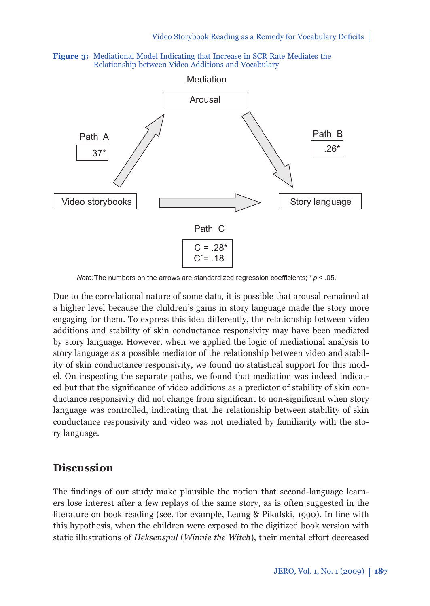



*Note:* The numbers on the arrows are standardized regression coefficients;  $* p < .05$ .

Due to the correlational nature of some data, it is possible that arousal remained at a higher level because the children's gains in story language made the story more engaging for them. To express this idea differently, the relationship between video additions and stability of skin conductance responsivity may have been mediated by story language. However, when we applied the logic of mediational analysis to story language as a possible mediator of the relationship between video and stability of skin conductance responsivity, we found no statistical support for this model. On inspecting the separate paths, we found that mediation was indeed indicated but that the significance of video additions as a predictor of stability of skin conductance responsivity did not change from significant to non-significant when story language was controlled, indicating that the relationship between stability of skin conductance responsivity and video was not mediated by familiarity with the story language.

# **Discussion**

The findings of our study make plausible the notion that second-language learners lose interest after a few replays of the same story, as is often suggested in the literature on book reading (see, for example, Leung & Pikulski, 1990). In line with this hypothesis, when the children were exposed to the digitized book version with static illustrations of *Heksenspul* (*Winnie the Witch*), their mental effort decreased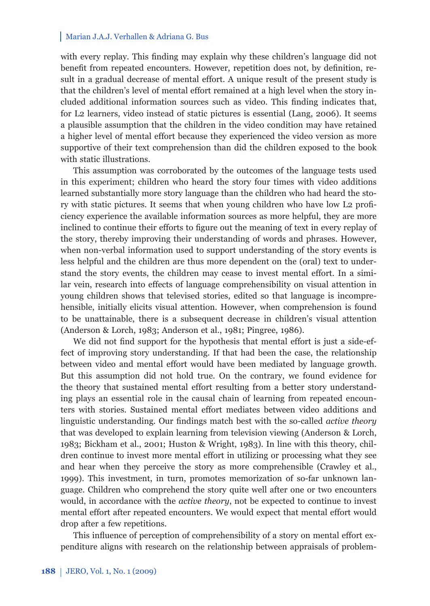with every replay. This finding may explain why these children's language did not benefit from repeated encounters. However, repetition does not, by definition, result in a gradual decrease of mental effort. A unique result of the present study is that the children's level of mental effort remained at a high level when the story included additional information sources such as video. This finding indicates that, for L2 learners, video instead of static pictures is essential (Lang, 2006). It seems a plausible assumption that the children in the video condition may have retained a higher level of mental effort because they experienced the video version as more supportive of their text comprehension than did the children exposed to the book with static illustrations.

This assumption was corroborated by the outcomes of the language tests used in this experiment; children who heard the story four times with video additions learned substantially more story language than the children who had heard the story with static pictures. It seems that when young children who have low L2 proficiency experience the available information sources as more helpful, they are more inclined to continue their efforts to figure out the meaning of text in every replay of the story, thereby improving their understanding of words and phrases. However, when non-verbal information used to support understanding of the story events is less helpful and the children are thus more dependent on the (oral) text to understand the story events, the children may cease to invest mental effort. In a similar vein, research into effects of language comprehensibility on visual attention in young children shows that televised stories, edited so that language is incomprehensible, initially elicits visual attention. However, when comprehension is found to be unattainable, there is a subsequent decrease in children's visual attention (Anderson & Lorch, 1983; Anderson et al., 1981; Pingree, 1986).

We did not find support for the hypothesis that mental effort is just a side-effect of improving story understanding. If that had been the case, the relationship between video and mental effort would have been mediated by language growth. But this assumption did not hold true. On the contrary, we found evidence for the theory that sustained mental effort resulting from a better story understanding plays an essential role in the causal chain of learning from repeated encounters with stories. Sustained mental effort mediates between video additions and linguistic understanding. Our findings match best with the so-called *active theory* that was developed to explain learning from television viewing (Anderson & Lorch, 1983; Bickham et al., 2001; Huston & Wright, 1983). In line with this theory, children continue to invest more mental effort in utilizing or processing what they see and hear when they perceive the story as more comprehensible (Crawley et al., 1999). This investment, in turn, promotes memorization of so-far unknown language. Children who comprehend the story quite well after one or two encounters would, in accordance with the *active theory*, not be expected to continue to invest mental effort after repeated encounters. We would expect that mental effort would drop after a few repetitions.

This influence of perception of comprehensibility of a story on mental effort expenditure aligns with research on the relationship between appraisals of problem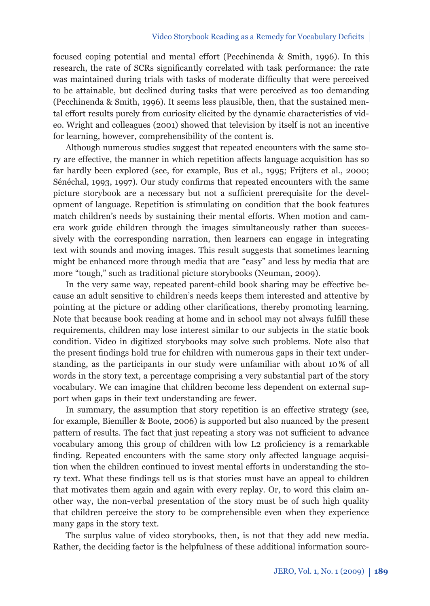focused coping potential and mental effort (Pecchinenda & Smith, 1996). In this research, the rate of SCRs significantly correlated with task performance: the rate was maintained during trials with tasks of moderate difficulty that were perceived to be attainable, but declined during tasks that were perceived as too demanding (Pecchinenda & Smith, 1996). It seems less plausible, then, that the sustained mental effort results purely from curiosity elicited by the dynamic characteristics of video. Wright and colleagues (2001) showed that television by itself is not an incentive for learning, however, comprehensibility of the content is.

Although numerous studies suggest that repeated encounters with the same story are effective, the manner in which repetition affects language acquisition has so far hardly been explored (see, for example, Bus et al., 1995; Frijters et al., 2000; Sénéchal, 1993, 1997). Our study confirms that repeated encounters with the same picture storybook are a necessary but not a sufficient prerequisite for the development of language. Repetition is stimulating on condition that the book features match children's needs by sustaining their mental efforts. When motion and camera work guide children through the images simultaneously rather than successively with the corresponding narration, then learners can engage in integrating text with sounds and moving images. This result suggests that sometimes learning might be enhanced more through media that are "easy" and less by media that are more "tough," such as traditional picture storybooks (Neuman, 2009).

In the very same way, repeated parent-child book sharing may be effective because an adult sensitive to children's needs keeps them interested and attentive by pointing at the picture or adding other clarifications, thereby promoting learning. Note that because book reading at home and in school may not always fulfill these requirements, children may lose interest similar to our subjects in the static book condition. Video in digitized storybooks may solve such problems. Note also that the present findings hold true for children with numerous gaps in their text understanding, as the participants in our study were unfamiliar with about 10 % of all words in the story text, a percentage comprising a very substantial part of the story vocabulary. We can imagine that children become less dependent on external support when gaps in their text understanding are fewer.

In summary, the assumption that story repetition is an effective strategy (see, for example, Biemiller & Boote, 2006) is supported but also nuanced by the present pattern of results. The fact that just repeating a story was not sufficient to advance vocabulary among this group of children with low L2 proficiency is a remarkable finding. Repeated encounters with the same story only affected language acquisition when the children continued to invest mental efforts in understanding the story text. What these findings tell us is that stories must have an appeal to children that motivates them again and again with every replay. Or, to word this claim another way, the non-verbal presentation of the story must be of such high quality that children perceive the story to be comprehensible even when they experience many gaps in the story text.

The surplus value of video storybooks, then, is not that they add new media. Rather, the deciding factor is the helpfulness of these additional information sourc-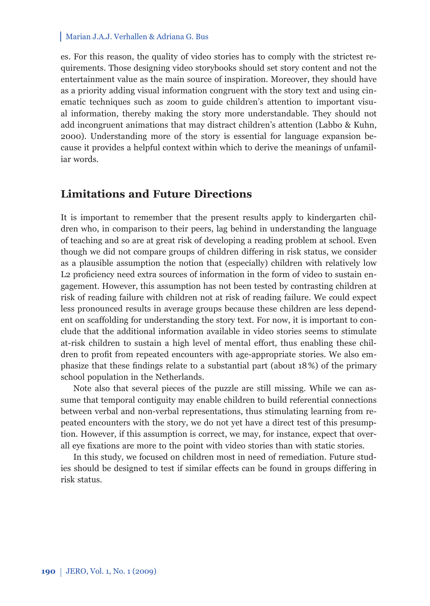es. For this reason, the quality of video stories has to comply with the strictest requirements. Those designing video storybooks should set story content and not the entertainment value as the main source of inspiration. Moreover, they should have as a priority adding visual information congruent with the story text and using cinematic techniques such as zoom to guide children's attention to important visual information, thereby making the story more understandable. They should not add incongruent animations that may distract children's attention (Labbo & Kuhn, 2000). Understanding more of the story is essential for language expansion because it provides a helpful context within which to derive the meanings of unfamiliar words.

# **Limitations and Future Directions**

It is important to remember that the present results apply to kindergarten children who, in comparison to their peers, lag behind in understanding the language of teaching and so are at great risk of developing a reading problem at school. Even though we did not compare groups of children differing in risk status, we consider as a plausible assumption the notion that (especially) children with relatively low L2 proficiency need extra sources of information in the form of video to sustain engagement. However, this assumption has not been tested by contrasting children at risk of reading failure with children not at risk of reading failure. We could expect less pronounced results in average groups because these children are less dependent on scaffolding for understanding the story text. For now, it is important to conclude that the additional information available in video stories seems to stimulate at-risk children to sustain a high level of mental effort, thus enabling these children to profit from repeated encounters with age-appropriate stories. We also emphasize that these findings relate to a substantial part (about  $18\%$ ) of the primary school population in the Netherlands.

Note also that several pieces of the puzzle are still missing. While we can assume that temporal contiguity may enable children to build referential connections between verbal and non-verbal representations, thus stimulating learning from repeated encounters with the story, we do not yet have a direct test of this presumption. However, if this assumption is correct, we may, for instance, expect that overall eye fixations are more to the point with video stories than with static stories.

In this study, we focused on children most in need of remediation. Future studies should be designed to test if similar effects can be found in groups differing in risk status.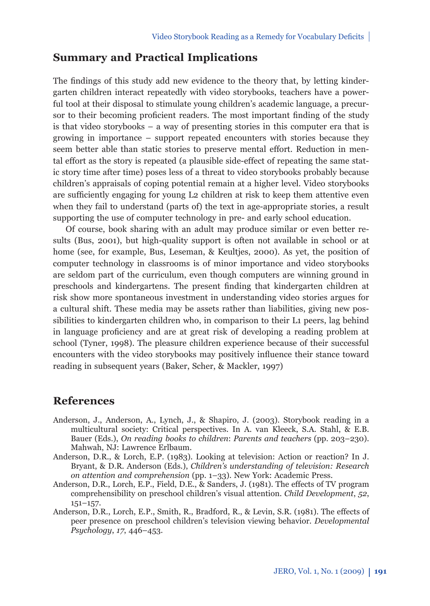# **Summary and Practical Implications**

The findings of this study add new evidence to the theory that, by letting kindergarten children interact repeatedly with video storybooks, teachers have a powerful tool at their disposal to stimulate young children's academic language, a precursor to their becoming proficient readers. The most important finding of the study is that video storybooks – a way of presenting stories in this computer era that is growing in importance – support repeated encounters with stories because they seem better able than static stories to preserve mental effort. Reduction in mental effort as the story is repeated (a plausible side-effect of repeating the same static story time after time) poses less of a threat to video storybooks probably because children's appraisals of coping potential remain at a higher level. Video storybooks are sufficiently engaging for young L2 children at risk to keep them attentive even when they fail to understand (parts of) the text in age-appropriate stories, a result supporting the use of computer technology in pre- and early school education.

Of course, book sharing with an adult may produce similar or even better results (Bus, 2001), but high-quality support is often not available in school or at home (see, for example, Bus, Leseman, & Keultjes, 2000). As yet, the position of computer technology in classrooms is of minor importance and video storybooks are seldom part of the curriculum, even though computers are winning ground in preschools and kindergartens. The present finding that kindergarten children at risk show more spontaneous investment in understanding video stories argues for a cultural shift. These media may be assets rather than liabilities, giving new possibilities to kindergarten children who, in comparison to their L1 peers, lag behind in language proficiency and are at great risk of developing a reading problem at school (Tyner, 1998). The pleasure children experience because of their successful encounters with the video storybooks may positively influence their stance toward reading in subsequent years (Baker, Scher, & Mackler, 1997)

# **References**

- Anderson, J., Anderson, A., Lynch, J., & Shapiro, J. (2003). Storybook reading in a multicultural society: Critical perspectives. In A. van Kleeck, S.A. Stahl, & E.B. Bauer (Eds.), *On reading books to children*: *Parents and teachers* (pp. 203–230). Mahwah, NJ: Lawrence Erlbaum.
- Anderson, D.R., & Lorch, E.P. (1983). Looking at television: Action or reaction? In J. Bryant, & D.R. Anderson (Eds.), *Children's understanding of television: Research on attention and comprehension* (pp. 1–33). New York: Academic Press.
- Anderson, D.R., Lorch, E.P., Field, D.E., & Sanders, J. (1981). The effects of TV program comprehensibility on preschool children's visual attention. *Child Development*, *52*, 151–157.
- Anderson, D.R., Lorch, E.P., Smith, R., Bradford, R., & Levin, S.R. (1981). The effects of peer presence on preschool children's television viewing behavior. *Developmental Psychology*, *17*, 446–453.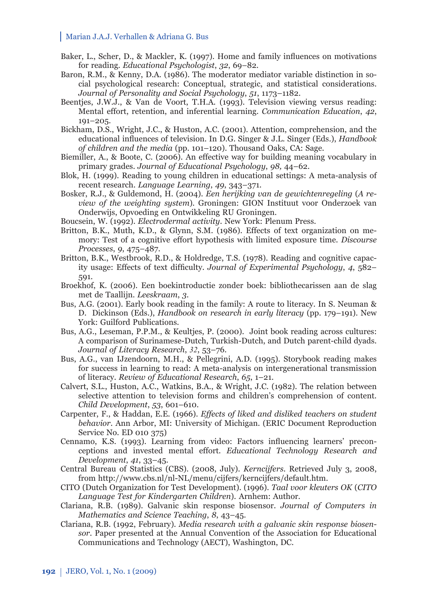- Baker, L., Scher, D., & Mackler, K. (1997). Home and family influences on motivations for reading. *Educational Psychologist*, *32*, 69–82.
- Baron, R.M., & Kenny, D.A. (1986). The moderator mediator variable distinction in social psychological research: Conceptual, strategic, and statistical considerations. *Journal of Personality and Social Psychology*, *51*, 1173–1182.
- Beentjes, J.W.J., & Van de Voort, T.H.A. (1993). Television viewing versus reading: Mental effort, retention, and inferential learning. *Communication Education*, *42*, 191–205.
- Bickham, D.S., Wright, J.C., & Huston, A.C. (2001). Attention, comprehension, and the educational infl uences of television. In D.G. Singer & J.L. Singer (Eds.), *Handbook of children and the media* (pp. 101–120). Thousand Oaks, CA: Sage.
- Biemiller, A., & Boote, C. (2006). An effective way for building meaning vocabulary in primary grades. *Journal of Educational Psychology*, *98,* 44–62.
- Blok, H. (1999). Reading to young children in educational settings: A meta-analysis of recent research. *Language Learning*, *49*, 343–371.
- Bosker, R.J., & Guldemond, H. (2004). *Een herijking van de gewichtenregeling* (*A review of the weighting system*). Groningen: GION Instituut voor Onderzoek van Onderwijs, Opvoeding en Ontwikkeling RU Groningen.
- Boucsein, W. (1992). *Electrodermal activity*. New York: Plenum Press.
- Britton, B.K., Muth, K.D., & Glynn, S.M. (1986). Effects of text organization on memory: Test of a cognitive effort hypothesis with limited exposure time. *Discourse Processes*, *9*, 475–487.
- Britton, B.K., Westbrook, R.D., & Holdredge, T.S. (1978). Reading and cognitive capacity usage: Effects of text difficulty. *Journal of Experimental Psychology*, 4, 582-591.
- Broekhof, K. (2006). Een boekintroductie zonder boek: bibliothecarissen aan de slag met de Taallijn. *Leeskraam*, *3*.
- Bus, A.G. (2001). Early book reading in the family: A route to literacy. In S. Neuman & D. Dickinson (Eds.), *Handbook on research in early literacy* (pp. 179–191). New York: Guilford Publications.
- Bus, A.G., Leseman, P.P.M., & Keultjes, P. (2000). Joint book reading across cultures: A comparison of Surinamese-Dutch, Turkish-Dutch, and Dutch parent-child dyads. *Journal of Literacy Research*, *32*, 53–76.
- Bus, A.G., van IJzendoorn, M.H., & Pellegrini, A.D. (1995). Storybook reading makes for success in learning to read: A meta-analysis on intergenerational transmission of literacy. *Review of Educational Research*, *65*, 1–21.
- Calvert, S.L., Huston, A.C., Watkins, B.A., & Wright, J.C. (1982). The relation between selective attention to television forms and children's comprehension of content. *Child Development*, *53*, 601–610.
- Carpenter, F., & Haddan, E.E. (1966). *Effects of liked and disliked teachers on student behavior*. Ann Arbor, MI: University of Michigan. (ERIC Document Reproduction Service No. ED 010 375)
- Cennamo, K.S. (1993). Learning from video: Factors influencing learners' preconceptions and invested mental effort. *Educational Technology Research and Development*, *41*, 33–45.
- Central Bureau of Statistics (CBS). (2008, July). *Kerncijfers*. Retrieved July 3, 2008, from http://www.cbs.nl/nl-NL/menu/cijfers/kerncijfers/default.htm.
- CITO (Dutch Organization for Test Development). (1996). *Taal voor kleuters OK* (*CITO Language Test for Kindergarten Children*). Arnhem: Author.
- Clariana, R.B. (1989). Galvanic skin response biosensor. *Journal of Computers in Mathematics and Science Teaching*, *8*, 43–45.
- Clariana, R.B. (1992, February). *Media research with a galvanic skin response biosensor*. Paper presented at the Annual Convention of the Association for Educational Communications and Technology (AECT), Washington, DC.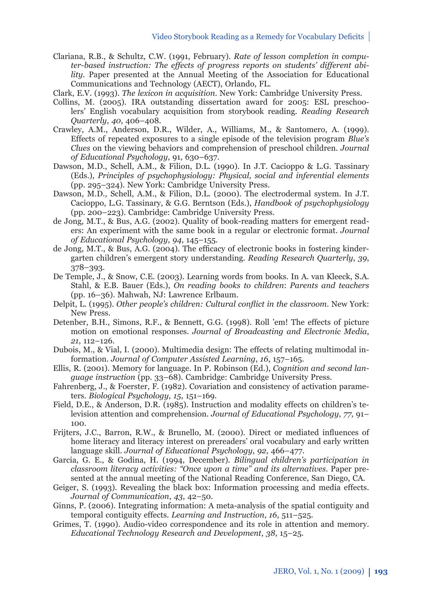- Clariana, R.B., & Schultz, C.W. (1991, February). *Rate of lesson completion in computer-based instruction: The effects of progress reports on students' different ability*. Paper presented at the Annual Meeting of the Association for Educational Communications and Technology (AECT), Orlando, FL.
- Clark, E.V. (1993). *The lexicon in acquisition*. New York: Cambridge University Press.
- Collins, M. (2005). IRA outstanding dissertation award for 2005: ESL preschoolers' English vocabulary acquisition from storybook reading. *Reading Research Quarterly*, *40*, 406–408.
- Crawley, A.M., Anderson, D.R., Wilder, A., Williams, M., & Santomero, A. (1999). Effects of repeated exposures to a single episode of the television program *Blue's Clues* on the viewing behaviors and comprehension of preschool children. *Journal of Educational Psychology*, 91, 630–637.
- Dawson, M.D., Schell, A.M., & Filion, D.L. (1990). In J.T. Cacioppo & L.G. Tassinary (Eds.), *Principles of psychophysiology: Physical, social and inferential elements* (pp. 295–324). New York: Cambridge University Press.
- Dawson, M.D., Schell, A.M., & Filion, D.L. (2000). The electrodermal system. In J.T. Cacioppo, L.G. Tassinary, & G.G. Berntson (Eds.), *Handbook of psychophysiology* (pp. 200–223). Cambridge: Cambridge University Press.
- de Jong, M.T., & Bus, A.G. (2002). Quality of book-reading matters for emergent readers: An experiment with the same book in a regular or electronic format. *Journal of Educational Psychology*, *94*, 145–155.
- de Jong, M.T., & Bus, A.G. (2004). The efficacy of electronic books in fostering kindergarten children's emergent story understanding. *Reading Research Quarterly*, *39*, 378–393.
- De Temple, J., & Snow, C.E. (2003). Learning words from books. In A. van Kleeck, S.A. Stahl, & E.B. Bauer (Eds.), *On reading books to children*: *Parents and teachers*  (pp. 16–36). Mahwah, NJ: Lawrence Erlbaum.
- Delpit, L. (1995). *Other people's children: Cultural conflict in the classroom*. New York: New Press.
- Detenber, B.H., Simons, R.F., & Bennett, G.G. (1998). Roll 'em! The effects of picture motion on emotional responses. *Journal of Broadcasting and Electronic Media*, *21*, 112–126.
- Dubois, M., & Vial, I. (2000). Multimedia design: The effects of relating multimodal information. *Journal of Computer Assisted Learning*, *16*, 157–165.
- Ellis, R. (2001). Memory for language. In P. Robinson (Ed.), *Cognition and second language instruction* (pp. 33–68). Cambridge: Cambridge University Press.
- Fahrenberg, J., & Foerster, F. (1982). Covariation and consistency of activation parameters. *Biological Psychology*, *15*, 151–169.
- Field, D.E., & Anderson, D.R. (1985). Instruction and modality effects on children's television attention and comprehension. *Journal of Educational Psychology*, *77*, 91– 100.
- Frijters, J.C., Barron, R.W., & Brunello, M. (2000). Direct or mediated influences of home literacy and literacy interest on prereaders' oral vocabulary and early written language skill. *Journal of Educational Psychology*, *92*, 466–477.
- Garcia, G. E., & Godina, H. (1994, December). *Bilingual children's participation in classroom literacy activities: "Once upon a time" and its alternatives*. Paper presented at the annual meeting of the National Reading Conference, San Diego, CA.
- Geiger, S. (1993). Revealing the black box: Information processing and media effects. *Journal of Communication*, *43*, 42–50.
- Ginns, P. (2006). Integrating information: A meta-analysis of the spatial contiguity and temporal contiguity effects. *Learning and Instruction*, *16*, 511–525.
- Grimes, T. (1990). Audio-video correspondence and its role in attention and memory. *Educational Technology Research and Development*, *38*, 15–25.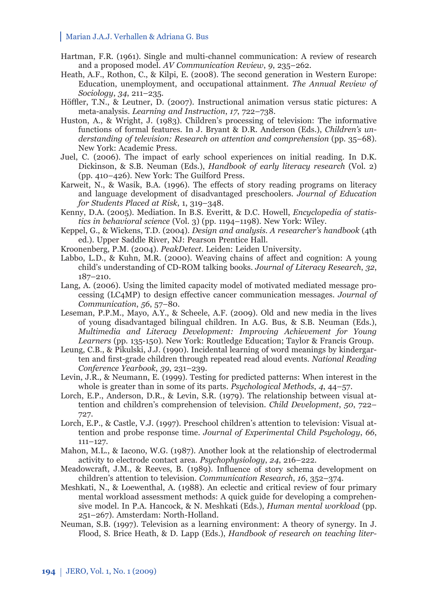- Hartman, F.R. (1961). Single and multi-channel communication: A review of research and a proposed model. *AV Communication Review*, *9*, 235–262.
- Heath, A.F., Rothon, C., & Kilpi, E. (2008). The second generation in Western Europe: Education, unemployment, and occupational attainment. *The Annual Review of Sociology*, *34*, 211–235.
- Höffler, T.N., & Leutner, D. (2007). Instructional animation versus static pictures: A meta-analysis. *Learning and Instruction*, *17*, 722–738.
- Huston, A., & Wright, J. (1983). Children's processing of television: The informative functions of formal features. In J. Bryant & D.R. Anderson (Eds.), *Children's understanding of television: Research on attention and comprehension* (pp. 35–68). New York: Academic Press.
- Juel, C. (2006). The impact of early school experiences on initial reading. In D.K. Dickinson, & S.B. Neuman (Eds.), *Handbook of early literacy research* (Vol. 2) (pp. 410–426). New York: The Guilford Press.
- Karweit, N., & Wasik, B.A. (1996). The effects of story reading programs on literacy and language development of disadvantaged preschoolers. *Journal of Education for Students Placed at Risk*, 1, 319–348.
- Kenny, D.A. (2005). Mediation. In B.S. Everitt, & D.C. Howell, *Encyclopedia of statistics in behavioral science* (Vol. 3) (pp. 1194–1198). New York: Wiley.
- Keppel, G., & Wickens, T.D. (2004). *Design and analysis. A researcher's handbook* (4th ed.). Upper Saddle River, NJ: Pearson Prentice Hall.
- Kroonenberg, P.M. (2004). *PeakDetect*. Leiden: Leiden University.
- Labbo, L.D., & Kuhn, M.R. (2000). Weaving chains of affect and cognition: A young child's understanding of CD-ROM talking books. *Journal of Literacy Research*, *32*, 187–210.
- Lang, A. (2006). Using the limited capacity model of motivated mediated message processing (LC4MP) to design effective cancer communication messages. *Journal of Communication*, *56*, 57–80.
- Leseman, P.P.M., Mayo, A.Y., & Scheele, A.F. (2009). Old and new media in the lives of young disadvantaged bilingual children. In A.G. Bus, & S.B. Neuman (Eds.), *Multimedia and Literacy Development: Improving Achievement for Young Learners* (pp. 135-150)*.* New York: Routledge Education; Taylor & Francis Group.
- Leung, C.B., & Pikulski, J.J. (1990). Incidental learning of word meanings by kindergarten and first-grade children through repeated read aloud events. *National Reading Conference Yearbook*, *39*, 231–239.
- Levin, J.R., & Neumann, E. (1999). Testing for predicted patterns: When interest in the whole is greater than in some of its parts. *Psychological Methods*, *4*, 44–57.
- Lorch, E.P., Anderson, D.R., & Levin, S.R. (1979). The relationship between visual attention and children's comprehension of television. *Child Development*, *50*, 722– 727.
- Lorch, E.P., & Castle, V.J. (1997). Preschool children's attention to television: Visual attention and probe response time. *Journal of Experimental Child Psychology*, *66*, 111–127.
- Mahon, M.L., & Iacono, W.G. (1987). Another look at the relationship of electrodermal activity to electrode contact area. *Psychophysiology*, *24*, 216–222.
- Meadowcraft, J.M., & Reeves, B. (1989). Influence of story schema development on children's attention to television. *Communication Research*, *16*, 352–374.
- Meshkati, N., & Loewenthal, A. (1988). An eclectic and critical review of four primary mental workload assessment methods: A quick guide for developing a comprehensive model. In P.A. Hancock, & N. Meshkati (Eds.), *Human mental workload* (pp. 251–267). Amsterdam: North-Holland.
- Neuman, S.B. (1997). Television as a learning environment: A theory of synergy. In J. Flood, S. Brice Heath, & D. Lapp (Eds.), *Handbook of research on teaching liter-*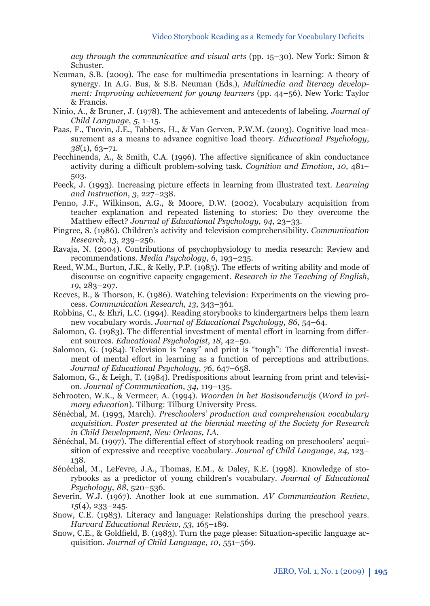*acy through the communicative and visual arts* (pp. 15–30). New York: Simon & Schuster.

- Neuman, S.B. (2009). The case for multimedia presentations in learning: A theory of synergy. In A.G. Bus, & S.B. Neuman (Eds.), *Multimedia and literacy development: Improving achievement for young learners* (pp. 44–56)*.* New York: Taylor & Francis.
- Ninio, A., & Bruner, J. (1978). The achievement and antecedents of labeling. *Journal of Child Language*, *5*, 1–15.
- Paas, F., Tuovin, J.E., Tabbers, H., & Van Gerven, P.W.M. (2003). Cognitive load measurement as a means to advance cognitive load theory. *Educational Psychology*, *38*(1), 63–71.
- Pecchinenda, A., & Smith, C.A. (1996). The affective significance of skin conductance activity during a difficult problem-solving task. *Cognition and Emotion, 10, 481–* 503.
- Peeck, J. (1993). Increasing picture effects in learning from illustrated text. *Learning and Instruction*, *3*, 227–238.
- Penno, J.F., Wilkinson, A.G., & Moore, D.W. (2002). Vocabulary acquisition from teacher explanation and repeated listening to stories: Do they overcome the Matthew effect? *Journal of Educational Psychology*, *94*, 23–33.
- Pingree, S. (1986). Children's activity and television comprehensibility. *Communication Research*, *13*, 239–256.
- Ravaja, N. (2004). Contributions of psychophysiology to media research: Review and recommendations. *Media Psychology*, *6*, 193–235.
- Reed, W.M., Burton, J.K., & Kelly, P.P. (1985). The effects of writing ability and mode of discourse on cognitive capacity engagement. *Research in the Teaching of English*, *19*, 283–297.
- Reeves, B., & Thorson, E. (1986). Watching television: Experiments on the viewing process. *Communication Research*, *13*, 343–361.
- Robbins, C., & Ehri, L.C. (1994). Reading storybooks to kindergartners helps them learn new vocabulary words. *Journal of Educational Psychology*, *86*, 54–64.
- Salomon, G. (1983). The differential investment of mental effort in learning from different sources. *Educational Psychologist*, *18*, 42–50.
- Salomon, G. (1984). Television is "easy" and print is "tough": The differential investment of mental effort in learning as a function of perceptions and attributions. *Journal of Educational Psychology*, *76*, 647–658.
- Salomon, G., & Leigh, T. (1984). Predispositions about learning from print and television. *Journal of Communication*, *34*, 119–135.
- Schrooten, W.K., & Vermeer, A. (1994). *Woorden in het Basisonderwijs* (*Word in primary education*). Tilburg: Tilburg University Press.
- Sénéchal, M. (1993, March). *Preschoolers' production and comprehension vocabulary acquisition*. *Poster presented at the biennial meeting of the Society for Research in Child Development, New Orleans, LA.*
- Sénéchal, M. (1997). The differential effect of storybook reading on preschoolers' acquisition of expressive and receptive vocabulary. *Journal of Child Language*, *24*, 123– 138.
- Sénéchal, M., LeFevre, J.A., Thomas, E.M., & Daley, K.E. (1998). Knowledge of storybooks as a predictor of young children's vocabulary. *Journal of Educational Psychology*, *88*, 520–536.
- Severin, W.J. (1967). Another look at cue summation. *AV Communication Review*, *15*(4), 233–245.
- Snow, C.E. (1983). Literacy and language: Relationships during the preschool years. *Harvard Educational Review*, *53*, 165–189.
- Snow, C.E., & Goldfield, B. (1983). Turn the page please: Situation-specific language acquisition. *Journal of Child Language*, *10*, 551–569.